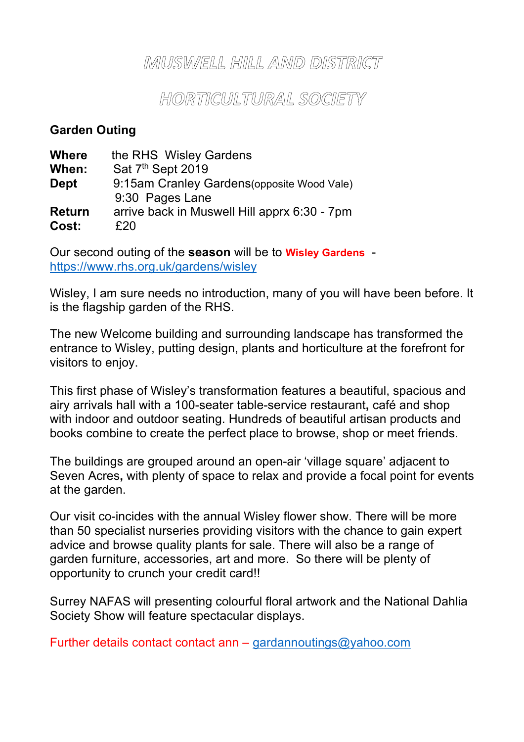### MUSWELL HILL AMD DISTRICT

## HORTICULTURAL SOCIETY

### **Garden Outing**

| <b>Where</b>  | the RHS Wisley Gardens                       |
|---------------|----------------------------------------------|
| When:         | Sat 7 <sup>th</sup> Sept 2019                |
| <b>Dept</b>   | 9:15am Cranley Gardens (opposite Wood Vale)  |
|               | 9:30 Pages Lane                              |
| <b>Return</b> | arrive back in Muswell Hill apprx 6:30 - 7pm |
| Cost:         | £20                                          |

Our second outing of the **season** will be to **Wisley Gardens** https://www.rhs.org.uk/gardens/wisley

Wisley, I am sure needs no introduction, many of you will have been before. It is the flagship garden of the RHS.

The new Welcome building and surrounding landscape has transformed the entrance to Wisley, putting design, plants and horticulture at the forefront for visitors to enjoy.

This first phase of Wisley's transformation features a beautiful, spacious and airy arrivals hall with a 100-seater table-service restaurant**,** café and shop with indoor and outdoor seating. Hundreds of beautiful artisan products and books combine to create the perfect place to browse, shop or meet friends.

The buildings are grouped around an open-air 'village square' adjacent to Seven Acres**,** with plenty of space to relax and provide a focal point for events at the garden.

Our visit co-incides with the annual Wisley flower show. There will be more than 50 specialist nurseries providing visitors with the chance to gain expert advice and browse quality plants for sale. There will also be a range of garden furniture, accessories, art and more. So there will be plenty of opportunity to crunch your credit card!!

Surrey NAFAS will presenting colourful floral artwork and the National Dahlia Society Show will feature spectacular displays.

Further details contact contact ann  $-$  gardannoutings@yahoo.com